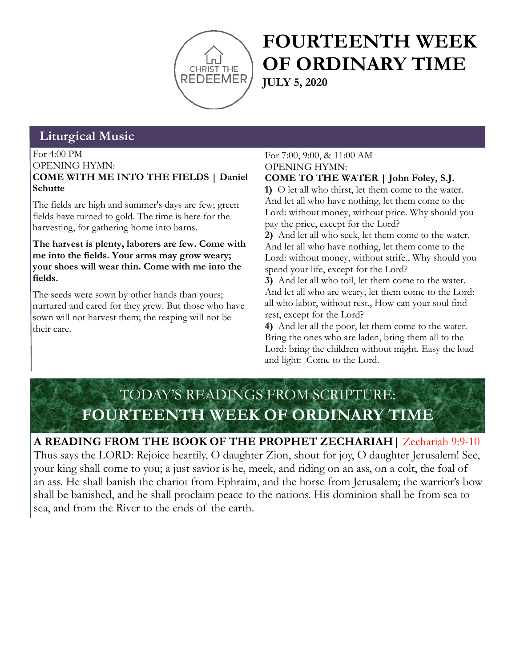

# **FOURTEENTH WEEK OF ORDINARY TIME JULY 5, 2020**

# **Liturgical Music**

For 4:00 PM OPENING HYMN: **COME WITH ME INTO THE FIELDS | Daniel Schutte**

The fields are high and summer's days are few; green fields have turned to gold. The time is here for the harvesting, for gathering home into barns.

**The harvest is plenty, laborers are few. Come with me into the fields. Your arms may grow weary; your shoes will wear thin. Come with me into the fields.**

The seeds were sown by other hands than yours; nurtured and cared for they grew. But those who have sown will not harvest them; the reaping will not be their care.

### For 7:00, 9:00, & 11:00 AM OPENING HYMN:

**COME TO THE WATER | John Foley, S.J.**

**1)** O let all who thirst, let them come to the water. And let all who have nothing, let them come to the Lord: without money, without price. Why should you pay the price, except for the Lord?

**2)** And let all who seek, let them come to the water. And let all who have nothing, let them come to the Lord: without money, without strife., Why should you spend your life, except for the Lord?

**3)** And let all who toil, let them come to the water. And let all who are weary, let them come to the Lord: all who labor, without rest., How can your soul find rest, except for the Lord?

**4)** And let all the poor, let them come to the water. Bring the ones who are laden, bring them all to the Lord: bring the children without might. Easy the load and light: Come to the Lord.

# TODAY'S READINGS FROM SCRIPTURE: **FOURTEENTH WEEK OF ORDINARY TIME**

### **A READING FROM THE BOOK OF THE PROPHET ZECHARIAH|** Zechariah 9:9-10

Thus says the LORD: Rejoice heartily, O daughter Zion, shout for joy, O daughter Jerusalem! See, your king shall come to you; a just savior is he, meek, and riding on an ass, on a colt, the foal of an ass. He shall banish the chariot from Ephraim, and the horse from Jerusalem; the warrior's bow shall be banished, and he shall proclaim peace to the nations. His dominion shall be from sea to sea, and from the River to the ends of the earth.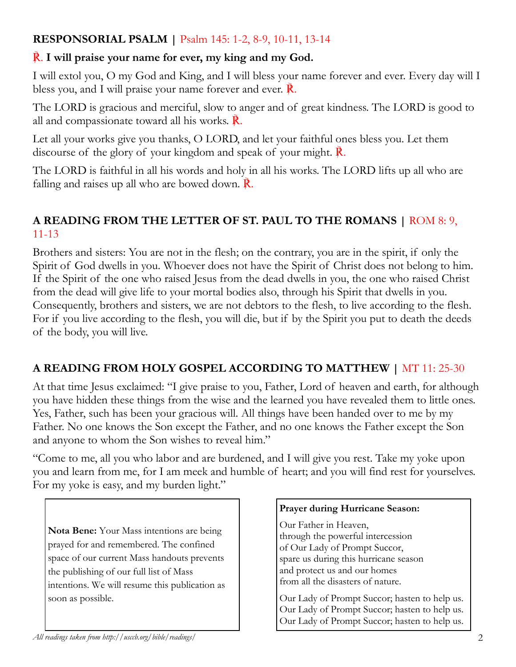### **RESPONSORIAL PSALM |** Psalm 145: 1-2, 8-9, 10-11, 13-14

## ℟. **I will praise your name for ever, my king and my God.**

I will extol you, O my God and King, and I will bless your name forever and ever. Every day will I bless you, and I will praise your name forever and ever. ℟.

The LORD is gracious and merciful, slow to anger and of great kindness. The LORD is good to all and compassionate toward all his works.  $\mathbb{R}$ .

Let all your works give you thanks, O LORD, and let your faithful ones bless you. Let them discourse of the glory of your kingdom and speak of your might. **R**.

The LORD is faithful in all his words and holy in all his works. The LORD lifts up all who are falling and raises up all who are bowed down.  $\mathbb{R}$ .

## **A READING FROM THE LETTER OF ST. PAUL TO THE ROMANS |** ROM 8: 9, 11-13

Brothers and sisters: You are not in the flesh; on the contrary, you are in the spirit, if only the Spirit of God dwells in you. Whoever does not have the Spirit of Christ does not belong to him. If the Spirit of the one who raised Jesus from the dead dwells in you, the one who raised Christ from the dead will give life to your mortal bodies also, through his Spirit that dwells in you. Consequently, brothers and sisters, we are not debtors to the flesh, to live according to the flesh. For if you live according to the flesh, you will die, but if by the Spirit you put to death the deeds of the body, you will live.

# **A READING FROM HOLY GOSPEL ACCORDING TO MATTHEW |** MT 11: 25-30

At that time Jesus exclaimed: "I give praise to you, Father, Lord of heaven and earth, for although you have hidden these things from the wise and the learned you have revealed them to little ones. Yes, Father, such has been your gracious will. All things have been handed over to me by my Father. No one knows the Son except the Father, and no one knows the Father except the Son and anyone to whom the Son wishes to reveal him."

"Come to me, all you who labor and are burdened, and I will give you rest. Take my yoke upon you and learn from me, for I am meek and humble of heart; and you will find rest for yourselves. For my yoke is easy, and my burden light."

**Nota Bene:** Your Mass intentions are being prayed for and remembered. The confined space of our current Mass handouts prevents the publishing of our full list of Mass intentions. We will resume this publication as soon as possible.

### **Prayer during Hurricane Season:**

Our Father in Heaven, through the powerful intercession of Our Lady of Prompt Succor, spare us during this hurricane season and protect us and our homes from all the disasters of nature.

Our Lady of Prompt Succor; hasten to help us. Our Lady of Prompt Succor; hasten to help us. Our Lady of Prompt Succor; hasten to help us.

*All readings taken from http://usccb.org/bible/readings/* 2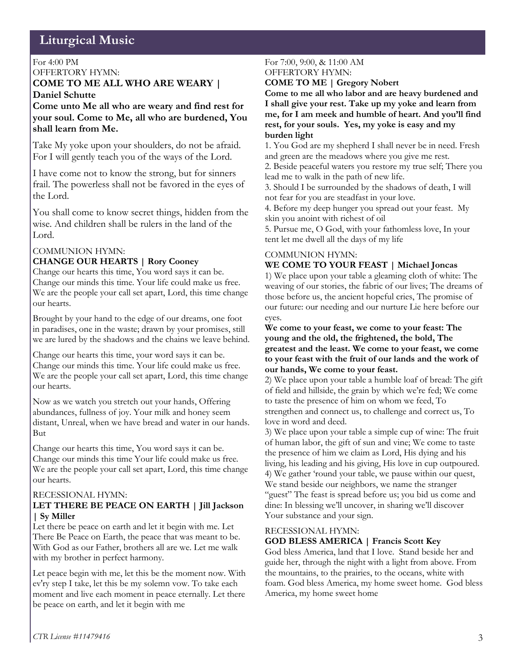# **Liturgical Music**

#### For 4:00 PM OFFERTORY HYMN:

#### **COME TO ME ALL WHO ARE WEARY | Daniel Schutte**

**Come unto Me all who are weary and find rest for your soul. Come to Me, all who are burdened, You shall learn from Me.**

Take My yoke upon your shoulders, do not be afraid. For I will gently teach you of the ways of the Lord.

I have come not to know the strong, but for sinners frail. The powerless shall not be favored in the eyes of the Lord.

You shall come to know secret things, hidden from the wise. And children shall be rulers in the land of the Lord.

#### COMMUNION HYMN:

#### **CHANGE OUR HEARTS | Rory Cooney**

Change our hearts this time, You word says it can be. Change our minds this time. Your life could make us free. We are the people your call set apart, Lord, this time change our hearts.

Brought by your hand to the edge of our dreams, one foot in paradises, one in the waste; drawn by your promises, still we are lured by the shadows and the chains we leave behind.

Change our hearts this time, your word says it can be. Change our minds this time. Your life could make us free. We are the people your call set apart, Lord, this time change our hearts.

Now as we watch you stretch out your hands, Offering abundances, fullness of joy. Your milk and honey seem distant, Unreal, when we have bread and water in our hands. But

Change our hearts this time, You word says it can be. Change our minds this time Your life could make us free. We are the people your call set apart, Lord, this time change our hearts.

#### RECESSIONAL HYMN:

#### **LET THERE BE PEACE ON EARTH | Jill Jackson | Sy Miller**

Let there be peace on earth and let it begin with me. Let There Be Peace on Earth, the peace that was meant to be. With God as our Father, brothers all are we. Let me walk with my brother in perfect harmony.

Let peace begin with me, let this be the moment now. With ev'ry step I take, let this be my solemn vow. To take each moment and live each moment in peace eternally. Let there be peace on earth, and let it begin with me

#### For 7:00, 9:00, & 11:00 AM OFFERTORY HYMN:

**COME TO ME | Gregory Nobert**

**Come to me all who labor and are heavy burdened and I shall give your rest. Take up my yoke and learn from me, for I am meek and humble of heart. And you'll find rest, for your souls. Yes, my yoke is easy and my burden light**

1. You God are my shepherd I shall never be in need. Fresh and green are the meadows where you give me rest.

2. Beside peaceful waters you restore my true self; There you lead me to walk in the path of new life.

3. Should I be surrounded by the shadows of death, I will not fear for you are steadfast in your love.

4. Before my deep hunger you spread out your feast. My skin you anoint with richest of oil

5. Pursue me, O God, with your fathomless love, In your tent let me dwell all the days of my life

#### COMMUNION HYMN: **WE COME TO YOUR FEAST | Michael Joncas**

1) We place upon your table a gleaming cloth of white: The weaving of our stories, the fabric of our lives; The dreams of those before us, the ancient hopeful cries, The promise of our future: our needing and our nurture Lie here before our eyes.

**We come to your feast, we come to your feast: The young and the old, the frightened, the bold, The greatest and the least. We come to your feast, we come to your feast with the fruit of our lands and the work of our hands, We come to your feast.**

2) We place upon your table a humble loaf of bread: The gift of field and hillside, the grain by which we're fed; We come to taste the presence of him on whom we feed, To strengthen and connect us, to challenge and correct us, To love in word and deed.

3) We place upon your table a simple cup of wine: The fruit of human labor, the gift of sun and vine; We come to taste the presence of him we claim as Lord, His dying and his living, his leading and his giving, His love in cup outpoured. 4) We gather 'round your table, we pause within our quest, We stand beside our neighbors, we name the stranger "guest" The feast is spread before us; you bid us come and dine: In blessing we'll uncover, in sharing we'll discover Your substance and your sign.

#### RECESSIONAL HYMN:

#### **GOD BLESS AMERICA | Francis Scott Key**

God bless America, land that I love. Stand beside her and guide her, through the night with a light from above. From the mountains, to the prairies, to the oceans, white with foam. God bless America, my home sweet home. God bless America, my home sweet home